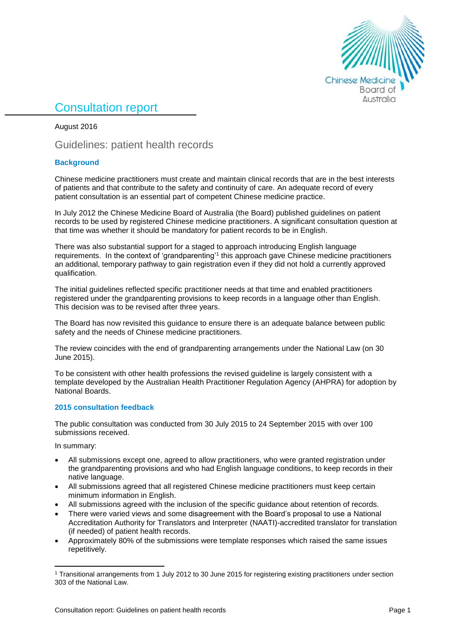

# Consultation report

August 2016

Guidelines: patient health records

## **Background**

Chinese medicine practitioners must create and maintain clinical records that are in the best interests of patients and that contribute to the safety and continuity of care. An adequate record of every patient consultation is an essential part of competent Chinese medicine practice.

In July 2012 the Chinese Medicine Board of Australia (the Board) published guidelines on patient records to be used by registered Chinese medicine practitioners. A significant consultation question at that time was whether it should be mandatory for patient records to be in English.

There was also substantial support for a staged to approach introducing English language requirements. In the context of 'grandparenting'<sup>1</sup> this approach gave Chinese medicine practitioners an additional, temporary pathway to gain registration even if they did not hold a currently approved qualification.

The initial guidelines reflected specific practitioner needs at that time and enabled practitioners registered under the grandparenting provisions to keep records in a language other than English. This decision was to be revised after three years.

The Board has now revisited this guidance to ensure there is an adequate balance between public safety and the needs of Chinese medicine practitioners.

The review coincides with the end of grandparenting arrangements under the National Law (on 30 June 2015).

To be consistent with other health professions the revised guideline is largely consistent with a template developed by the Australian Health Practitioner Regulation Agency (AHPRA) for adoption by National Boards.

### **2015 consultation feedback**

The public consultation was conducted from 30 July 2015 to 24 September 2015 with over 100 submissions received.

In summary:

**.** 

- All submissions except one, agreed to allow practitioners, who were granted registration under the grandparenting provisions and who had English language conditions, to keep records in their native language.
- All submissions agreed that all registered Chinese medicine practitioners must keep certain minimum information in English.
- All submissions agreed with the inclusion of the specific guidance about retention of records.
- There were varied views and some disagreement with the Board's proposal to use a National Accreditation Authority for Translators and Interpreter (NAATI)-accredited translator for translation (if needed) of patient health records.
- Approximately 80% of the submissions were template responses which raised the same issues repetitively.

<sup>1</sup> Transitional arrangements from 1 July 2012 to 30 June 2015 for registering existing practitioners under section 303 of the National Law.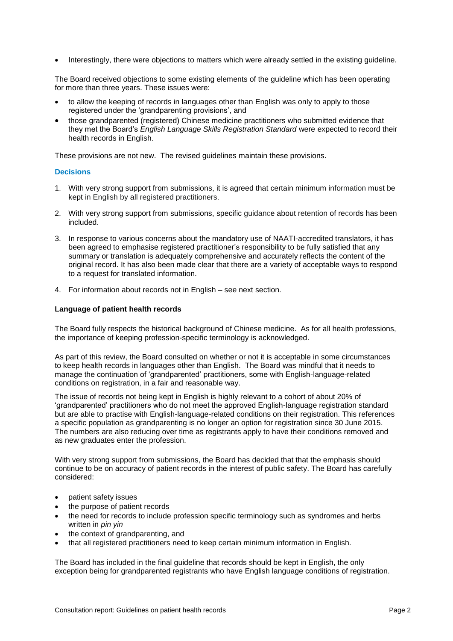Interestingly, there were objections to matters which were already settled in the existing guideline.

The Board received objections to some existing elements of the guideline which has been operating for more than three years. These issues were:

- to allow the keeping of records in languages other than English was only to apply to those registered under the 'grandparenting provisions', and
- those grandparented (registered) Chinese medicine practitioners who submitted evidence that they met the Board's *English Language Skills Registration Standard* were expected to record their health records in English.

These provisions are not new. The revised guidelines maintain these provisions.

#### **Decisions**

- 1. With very strong support from submissions, it is agreed that certain minimum information must be kept in English by all registered practitioners.
- 2. With very strong support from submissions, specific guidance about retention of records has been included.
- 3. In response to various concerns about the mandatory use of NAATI-accredited translators, it has been agreed to emphasise registered practitioner's responsibility to be fully satisfied that any summary or translation is adequately comprehensive and accurately reflects the content of the original record. It has also been made clear that there are a variety of acceptable ways to respond to a request for translated information.
- 4. For information about records not in English see next section.

#### **Language of patient health records**

The Board fully respects the historical background of Chinese medicine. As for all health professions, the importance of keeping profession-specific terminology is acknowledged.

As part of this review, the Board consulted on whether or not it is acceptable in some circumstances to keep health records in languages other than English. The Board was mindful that it needs to manage the continuation of 'grandparented' practitioners, some with English-language-related conditions on registration, in a fair and reasonable way.

The issue of records not being kept in English is highly relevant to a cohort of about 20% of 'grandparented' practitioners who do not meet the approved English-language registration standard but are able to practise with English-language-related conditions on their registration. This references a specific population as grandparenting is no longer an option for registration since 30 June 2015. The numbers are also reducing over time as registrants apply to have their conditions removed and as new graduates enter the profession.

With very strong support from submissions, the Board has decided that that the emphasis should continue to be on accuracy of patient records in the interest of public safety. The Board has carefully considered:

- patient safety issues
- the purpose of patient records
- the need for records to include profession specific terminology such as syndromes and herbs written in *pin yin*
- the context of grandparenting, and
- that all registered practitioners need to keep certain minimum information in English.

The Board has included in the final guideline that records should be kept in English, the only exception being for grandparented registrants who have English language conditions of registration.